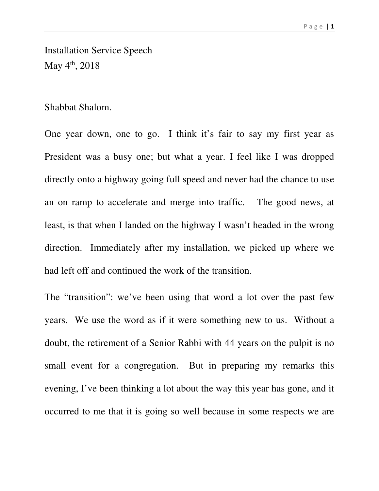Installation Service Speech May  $4^{th}$ , 2018

## Shabbat Shalom.

One year down, one to go. I think it's fair to say my first year as President was a busy one; but what a year. I feel like I was dropped directly onto a highway going full speed and never had the chance to use an on ramp to accelerate and merge into traffic. The good news, at least, is that when I landed on the highway I wasn't headed in the wrong direction. Immediately after my installation, we picked up where we had left off and continued the work of the transition.

The "transition": we've been using that word a lot over the past few years. We use the word as if it were something new to us. Without a doubt, the retirement of a Senior Rabbi with 44 years on the pulpit is no small event for a congregation. But in preparing my remarks this evening, I've been thinking a lot about the way this year has gone, and it occurred to me that it is going so well because in some respects we are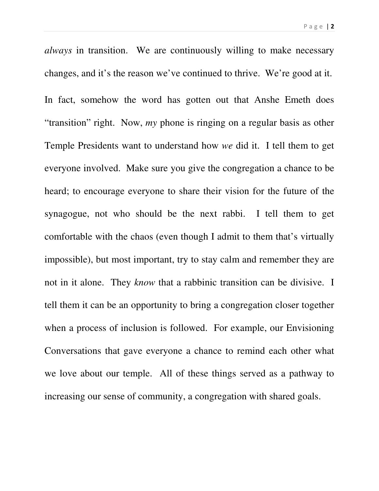*always* in transition. We are continuously willing to make necessary changes, and it's the reason we've continued to thrive. We're good at it. In fact, somehow the word has gotten out that Anshe Emeth does "transition" right. Now, *my* phone is ringing on a regular basis as other Temple Presidents want to understand how *we* did it. I tell them to get everyone involved. Make sure you give the congregation a chance to be heard; to encourage everyone to share their vision for the future of the synagogue, not who should be the next rabbi. I tell them to get comfortable with the chaos (even though I admit to them that's virtually impossible), but most important, try to stay calm and remember they are not in it alone. They *know* that a rabbinic transition can be divisive. I tell them it can be an opportunity to bring a congregation closer together when a process of inclusion is followed. For example, our Envisioning Conversations that gave everyone a chance to remind each other what we love about our temple. All of these things served as a pathway to increasing our sense of community, a congregation with shared goals.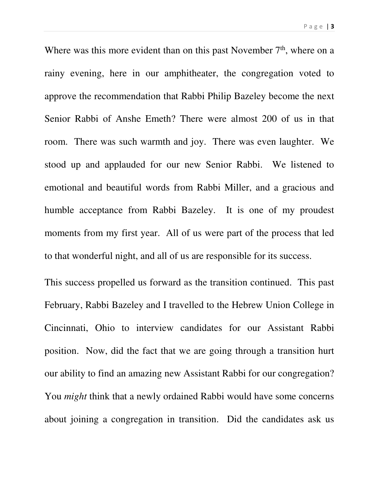P a g e | **3** 

Where was this more evident than on this past November  $7<sup>th</sup>$ , where on a rainy evening, here in our amphitheater, the congregation voted to approve the recommendation that Rabbi Philip Bazeley become the next Senior Rabbi of Anshe Emeth? There were almost 200 of us in that room. There was such warmth and joy. There was even laughter. We stood up and applauded for our new Senior Rabbi. We listened to emotional and beautiful words from Rabbi Miller, and a gracious and humble acceptance from Rabbi Bazeley. It is one of my proudest moments from my first year. All of us were part of the process that led to that wonderful night, and all of us are responsible for its success.

This success propelled us forward as the transition continued. This past February, Rabbi Bazeley and I travelled to the Hebrew Union College in Cincinnati, Ohio to interview candidates for our Assistant Rabbi position. Now, did the fact that we are going through a transition hurt our ability to find an amazing new Assistant Rabbi for our congregation? You *might* think that a newly ordained Rabbi would have some concerns about joining a congregation in transition. Did the candidates ask us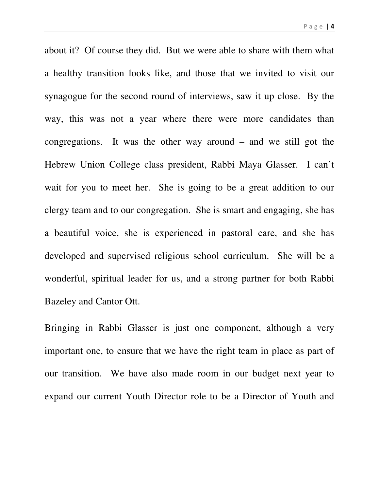about it? Of course they did. But we were able to share with them what a healthy transition looks like, and those that we invited to visit our synagogue for the second round of interviews, saw it up close. By the way, this was not a year where there were more candidates than congregations. It was the other way around – and we still got the Hebrew Union College class president, Rabbi Maya Glasser. I can't wait for you to meet her. She is going to be a great addition to our clergy team and to our congregation. She is smart and engaging, she has a beautiful voice, she is experienced in pastoral care, and she has developed and supervised religious school curriculum. She will be a wonderful, spiritual leader for us, and a strong partner for both Rabbi Bazeley and Cantor Ott.

Bringing in Rabbi Glasser is just one component, although a very important one, to ensure that we have the right team in place as part of our transition. We have also made room in our budget next year to expand our current Youth Director role to be a Director of Youth and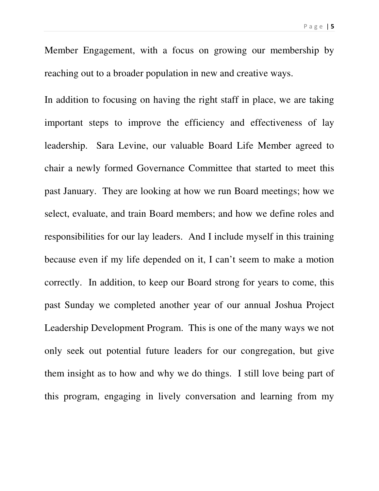Member Engagement, with a focus on growing our membership by reaching out to a broader population in new and creative ways.

In addition to focusing on having the right staff in place, we are taking important steps to improve the efficiency and effectiveness of lay leadership. Sara Levine, our valuable Board Life Member agreed to chair a newly formed Governance Committee that started to meet this past January. They are looking at how we run Board meetings; how we select, evaluate, and train Board members; and how we define roles and responsibilities for our lay leaders. And I include myself in this training because even if my life depended on it, I can't seem to make a motion correctly. In addition, to keep our Board strong for years to come, this past Sunday we completed another year of our annual Joshua Project Leadership Development Program. This is one of the many ways we not only seek out potential future leaders for our congregation, but give them insight as to how and why we do things. I still love being part of this program, engaging in lively conversation and learning from my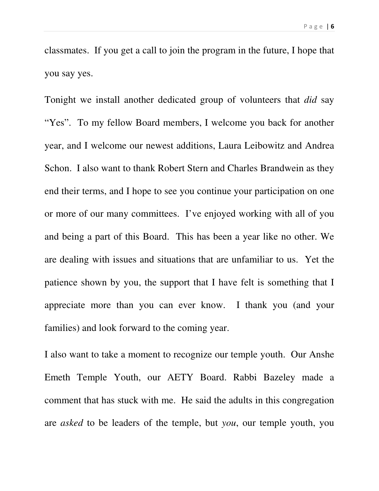classmates. If you get a call to join the program in the future, I hope that you say yes.

Tonight we install another dedicated group of volunteers that *did* say "Yes". To my fellow Board members, I welcome you back for another year, and I welcome our newest additions, Laura Leibowitz and Andrea Schon. I also want to thank Robert Stern and Charles Brandwein as they end their terms, and I hope to see you continue your participation on one or more of our many committees. I've enjoyed working with all of you and being a part of this Board. This has been a year like no other. We are dealing with issues and situations that are unfamiliar to us. Yet the patience shown by you, the support that I have felt is something that I appreciate more than you can ever know. I thank you (and your families) and look forward to the coming year.

I also want to take a moment to recognize our temple youth. Our Anshe Emeth Temple Youth, our AETY Board. Rabbi Bazeley made a comment that has stuck with me. He said the adults in this congregation are *asked* to be leaders of the temple, but *you*, our temple youth, you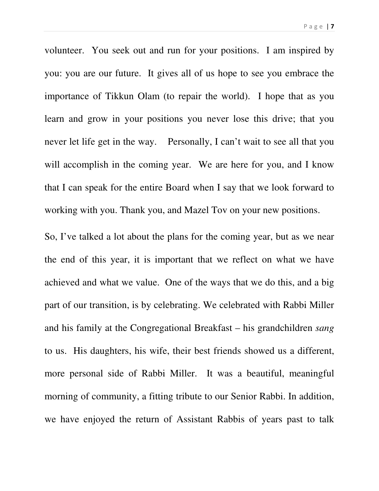P a g e | **7** 

volunteer. You seek out and run for your positions. I am inspired by you: you are our future. It gives all of us hope to see you embrace the importance of Tikkun Olam (to repair the world). I hope that as you learn and grow in your positions you never lose this drive; that you never let life get in the way. Personally, I can't wait to see all that you will accomplish in the coming year. We are here for you, and I know that I can speak for the entire Board when I say that we look forward to working with you. Thank you, and Mazel Tov on your new positions.

So, I've talked a lot about the plans for the coming year, but as we near the end of this year, it is important that we reflect on what we have achieved and what we value. One of the ways that we do this, and a big part of our transition, is by celebrating. We celebrated with Rabbi Miller and his family at the Congregational Breakfast – his grandchildren *sang* to us. His daughters, his wife, their best friends showed us a different, more personal side of Rabbi Miller. It was a beautiful, meaningful morning of community, a fitting tribute to our Senior Rabbi. In addition, we have enjoyed the return of Assistant Rabbis of years past to talk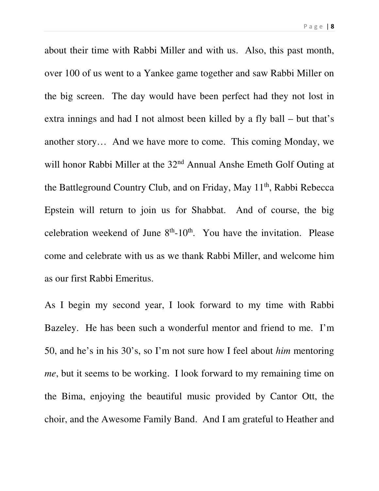about their time with Rabbi Miller and with us. Also, this past month, over 100 of us went to a Yankee game together and saw Rabbi Miller on the big screen. The day would have been perfect had they not lost in extra innings and had I not almost been killed by a fly ball – but that's another story… And we have more to come. This coming Monday, we will honor Rabbi Miller at the 32<sup>nd</sup> Annual Anshe Emeth Golf Outing at the Battleground Country Club, and on Friday, May 11<sup>th</sup>, Rabbi Rebecca Epstein will return to join us for Shabbat. And of course, the big celebration weekend of June  $8<sup>th</sup>$ -10<sup>th</sup>. You have the invitation. Please come and celebrate with us as we thank Rabbi Miller, and welcome him as our first Rabbi Emeritus.

As I begin my second year, I look forward to my time with Rabbi Bazeley. He has been such a wonderful mentor and friend to me. I'm 50, and he's in his 30's, so I'm not sure how I feel about *him* mentoring *me*, but it seems to be working. I look forward to my remaining time on the Bima, enjoying the beautiful music provided by Cantor Ott, the choir, and the Awesome Family Band. And I am grateful to Heather and